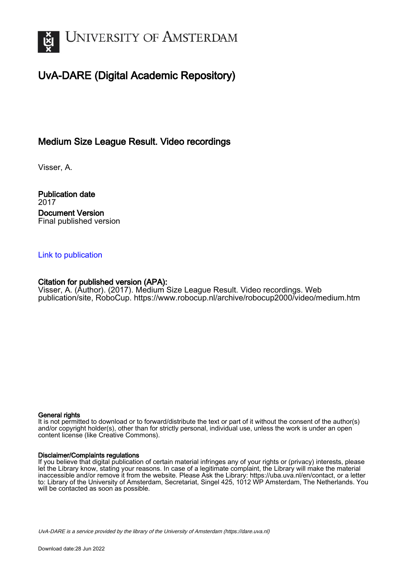

# UvA-DARE (Digital Academic Repository)

## Medium Size League Result. Video recordings

Visser, A.

Publication date 2017 Document Version Final published version

#### [Link to publication](https://dare.uva.nl/personal/pure/en/publications/medium-size-league-result-video-recordings(3408d9b9-ca91-4e4d-852b-3d2a86eb61bf).html)

#### Citation for published version (APA):

Visser, A. (Author). (2017). Medium Size League Result. Video recordings. Web publication/site, RoboCup.<https://www.robocup.nl/archive/robocup2000/video/medium.htm>

#### General rights

It is not permitted to download or to forward/distribute the text or part of it without the consent of the author(s) and/or copyright holder(s), other than for strictly personal, individual use, unless the work is under an open content license (like Creative Commons).

#### Disclaimer/Complaints regulations

If you believe that digital publication of certain material infringes any of your rights or (privacy) interests, please let the Library know, stating your reasons. In case of a legitimate complaint, the Library will make the material inaccessible and/or remove it from the website. Please Ask the Library: https://uba.uva.nl/en/contact, or a letter to: Library of the University of Amsterdam, Secretariat, Singel 425, 1012 WP Amsterdam, The Netherlands. You will be contacted as soon as possible.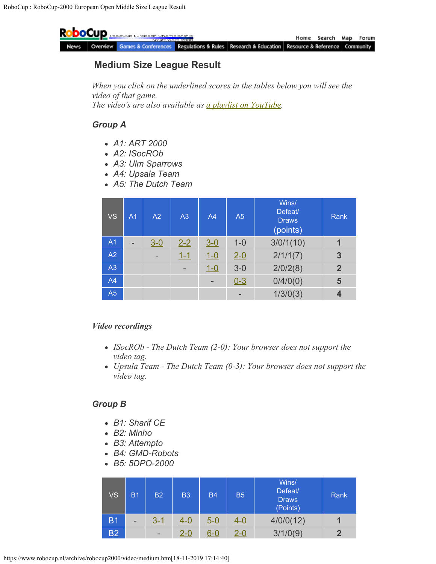

### **Medium Size League Result**

*When you click on the underlined scores in the tables below you will see the video of that game. The video's are also available as [a playlist on YouTube.](https://www.youtube.com/playlist?list=PLCxFx6glfs-lIvNe-A4VUobGqhucYYSNo)*

### *Group A*

- *A1: ART 2000*
- *A2: ISocROb*
- *A3: Ulm Sparrows*
- *A4: Upsala Team*
- *A5: The Dutch Team*

| <b>VS</b>      | A <sub>1</sub> | A2      | A <sub>3</sub> | A <sub>4</sub>           | A <sub>5</sub> | Wins/<br>Defeat/<br><b>Draws</b><br>(points) | Rank           |
|----------------|----------------|---------|----------------|--------------------------|----------------|----------------------------------------------|----------------|
| A <sub>1</sub> | ۳              | $3 - 0$ | $2 - 2$        | $3 - 0$                  | $1 - 0$        | 3/0/1(10)                                    |                |
| A2             |                | -       | $1 - 1$        | $1 - 0$                  | $2 - 0$        | 2/1/1(7)                                     | 3              |
| A3             |                |         | -              | $1 - 0$                  | $3-0$          | 2/0/2(8)                                     | $\overline{2}$ |
| A4             |                |         |                | $\overline{\phantom{0}}$ | $0 - 3$        | 0/4/0(0)                                     | 5              |
| A5             |                |         |                |                          |                | 1/3/0(3)                                     |                |

#### *Video recordings*

- *ISocROb The Dutch Team (2-0): Your browser does not support the video tag.*
- *Upsula Team The Dutch Team (0-3): Your browser does not support the video tag.*

### *Group B*

- *B1: Sharif CE*
- *B2: Minho*
- *B3: Attempto*
- *B4: GMD-Robots*
- *B5: 5DPO-2000*

| <b>VS</b>      | B1 | <b>B2</b> | <b>B3</b>  | <b>B4</b>  | <b>B5</b> | Wins/<br>Defeat/<br><b>Draws</b><br>(Points) | Rank |
|----------------|----|-----------|------------|------------|-----------|----------------------------------------------|------|
| B <sub>1</sub> | -  | $3 - 1$   | $4 - 0$    | $5 - 0$    | $4 - 0$   | 4/0/0(12)                                    |      |
| <b>B2</b>      |    | -         | <u>2-0</u> | <u>6-0</u> | $2 - 0$   | 3/1/0(9)                                     | 2    |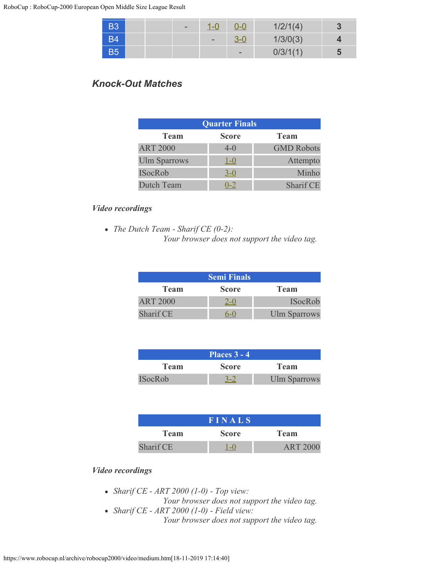| <b>B3</b> |  | $\overline{\phantom{0}}$ | 1-C                      | 0-0             | 1/2/1(4) | J |
|-----------|--|--------------------------|--------------------------|-----------------|----------|---|
| <b>B4</b> |  |                          | $\overline{\phantom{a}}$ |                 | 1/3/0(3) |   |
| <b>B5</b> |  |                          |                          | $\qquad \qquad$ | 0/3/1(1) |   |

## *Knock-Out Matches*

| <b>Quarter Finals</b> |              |                   |  |  |
|-----------------------|--------------|-------------------|--|--|
| <b>Team</b>           | <b>Score</b> | <b>Team</b>       |  |  |
| <b>ART 2000</b>       | $4-0$        | <b>GMD Robots</b> |  |  |
| <b>Ulm Sparrows</b>   | $1-0$        | Attempto          |  |  |
| <b>ISocRob</b>        | $3-0$        | Minho             |  |  |
| Dutch Team            | $0 - 2$      | Sharif CE         |  |  |

#### *Video recordings*

*The Dutch Team - Sharif CE (0-2): Your browser does not support the video tag.*

| <b>Semi Finals</b>                         |       |                     |  |  |
|--------------------------------------------|-------|---------------------|--|--|
| <b>Score</b><br><b>Team</b><br><b>Team</b> |       |                     |  |  |
| <b>ART 2000</b>                            | $2-0$ | <b>ISocRob</b>      |  |  |
| Sharif CE                                  |       | <b>Ulm Sparrows</b> |  |  |

| Places $3 - 4$ |              |                     |  |  |
|----------------|--------------|---------------------|--|--|
| Team           | <b>Score</b> | Team                |  |  |
| <b>ISocRob</b> |              | <b>Ulm Sparrows</b> |  |  |

| <b>FINALS</b> |              |                 |  |  |
|---------------|--------------|-----------------|--|--|
| Team          | <b>Score</b> | Team            |  |  |
| Sharif CE     |              | <b>ART 2000</b> |  |  |

### *Video recordings*

- *Sharif CE ART 2000 (1-0) Top view: Your browser does not support the video tag.*
- *Sharif CE ART 2000 (1-0) Field view: Your browser does not support the video tag.*